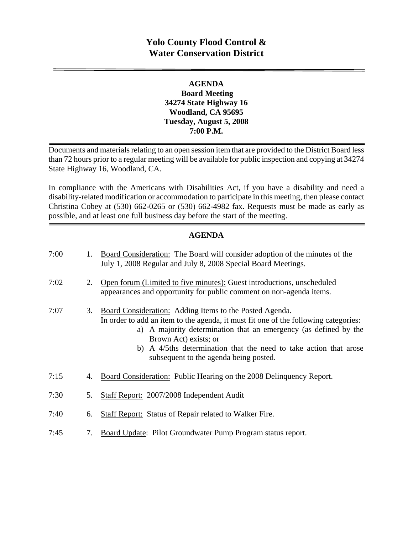# **Yolo County Flood Control & Water Conservation District**

### **AGENDA Board Meeting 34274 State Highway 16 Woodland, CA 95695 Tuesday, August 5, 2008 7:00 P.M.**

Documents and materials relating to an open session item that are provided to the District Board less than 72 hours prior to a regular meeting will be available for public inspection and copying at 34274 State Highway 16, Woodland, CA.

In compliance with the Americans with Disabilities Act, if you have a disability and need a disability-related modification or accommodation to participate in this meeting, then please contact Christina Cobey at (530) 662-0265 or (530) 662-4982 fax. Requests must be made as early as possible, and at least one full business day before the start of the meeting.

### **AGENDA**

| 7:00 | 1. | Board Consideration: The Board will consider adoption of the minutes of the<br>July 1, 2008 Regular and July 8, 2008 Special Board Meetings.                                                                                                                                                                                                               |
|------|----|------------------------------------------------------------------------------------------------------------------------------------------------------------------------------------------------------------------------------------------------------------------------------------------------------------------------------------------------------------|
| 7:02 | 2. | Open forum (Limited to five minutes): Guest introductions, unscheduled<br>appearances and opportunity for public comment on non-agenda items.                                                                                                                                                                                                              |
| 7:07 | 3. | Board Consideration: Adding Items to the Posted Agenda.<br>In order to add an item to the agenda, it must fit one of the following categories:<br>a) A majority determination that an emergency (as defined by the<br>Brown Act) exists; or<br>b) A 4/5ths determination that the need to take action that arose<br>subsequent to the agenda being posted. |
| 7:15 | 4. | Board Consideration: Public Hearing on the 2008 Delinquency Report.                                                                                                                                                                                                                                                                                        |
| 7:30 | 5. | Staff Report: 2007/2008 Independent Audit                                                                                                                                                                                                                                                                                                                  |
| 7:40 | 6. | Staff Report: Status of Repair related to Walker Fire.                                                                                                                                                                                                                                                                                                     |
| 7:45 | 7. | Board Update: Pilot Groundwater Pump Program status report.                                                                                                                                                                                                                                                                                                |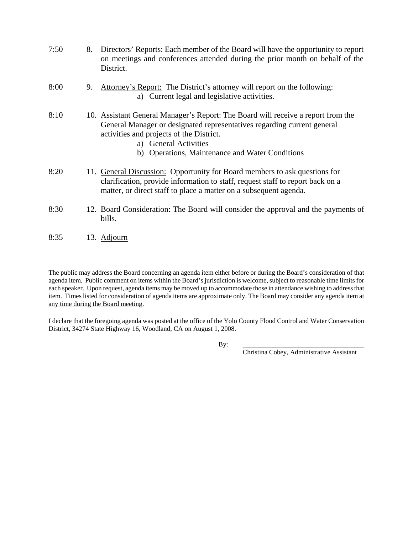- 7:50 8. Directors' Reports: Each member of the Board will have the opportunity to report on meetings and conferences attended during the prior month on behalf of the District.
- 8:00 9. Attorney's Report: The District's attorney will report on the following: a) Current legal and legislative activities.
- 8:10 10. Assistant General Manager's Report: The Board will receive a report from the General Manager or designated representatives regarding current general activities and projects of the District.
	- a) General Activities
	- b) Operations, Maintenance and Water Conditions
- 8:20 11. General Discussion: Opportunity for Board members to ask questions for clarification, provide information to staff, request staff to report back on a matter, or direct staff to place a matter on a subsequent agenda.
- 8:30 12. Board Consideration: The Board will consider the approval and the payments of bills.
- 8:35 13. Adjourn

The public may address the Board concerning an agenda item either before or during the Board's consideration of that agenda item. Public comment on items within the Board's jurisdiction is welcome, subject to reasonable time limits for each speaker. Upon request, agenda items may be moved up to accommodate those in attendance wishing to address that item. Times listed for consideration of agenda items are approximate only. The Board may consider any agenda item at any time during the Board meeting.

I declare that the foregoing agenda was posted at the office of the Yolo County Flood Control and Water Conservation District, 34274 State Highway 16, Woodland, CA on August 1, 2008.

By: \_\_\_\_\_\_\_\_\_\_\_\_\_\_\_\_\_\_\_\_\_\_\_\_\_\_\_\_\_\_\_\_\_\_\_\_\_

Christina Cobey, Administrative Assistant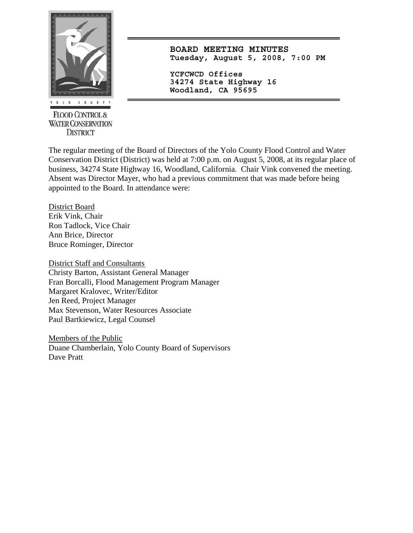

**FLOOD CONTROL & WATER CONSERVATION DISTRICT** 

**BOARD MEETING MINUTES Tuesday, August 5, 2008, 7:00 PM**

**YCFCWCD Offices 34274 State Highway 16 Woodland, CA 95695** 

The regular meeting of the Board of Directors of the Yolo County Flood Control and Water Conservation District (District) was held at 7:00 p.m. on August 5, 2008, at its regular place of business, 34274 State Highway 16, Woodland, California. Chair Vink convened the meeting. Absent was Director Mayer, who had a previous commitment that was made before being appointed to the Board. In attendance were:

District Board Erik Vink, Chair Ron Tadlock, Vice Chair Ann Brice, Director Bruce Rominger, Director

District Staff and Consultants Christy Barton, Assistant General Manager Fran Borcalli, Flood Management Program Manager Margaret Kralovec, Writer/Editor Jen Reed, Project Manager Max Stevenson, Water Resources Associate Paul Bartkiewicz, Legal Counsel

Members of the Public Duane Chamberlain, Yolo County Board of Supervisors Dave Pratt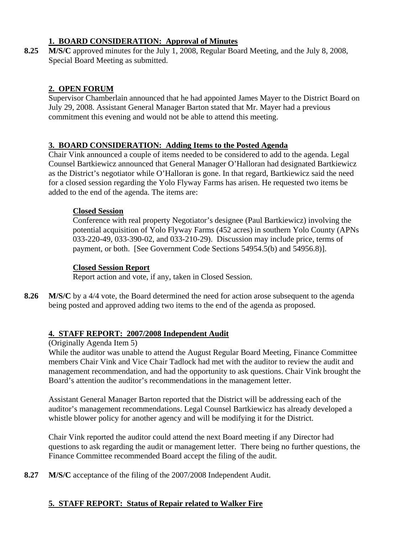## **1. BOARD CONSIDERATION: Approval of Minutes**

**8.25 M/S/C** approved minutes for the July 1, 2008, Regular Board Meeting, and the July 8, 2008, Special Board Meeting as submitted.

## **2. OPEN FORUM**

Supervisor Chamberlain announced that he had appointed James Mayer to the District Board on July 29, 2008. Assistant General Manager Barton stated that Mr. Mayer had a previous commitment this evening and would not be able to attend this meeting.

### **3. BOARD CONSIDERATION: Adding Items to the Posted Agenda**

Chair Vink announced a couple of items needed to be considered to add to the agenda. Legal Counsel Bartkiewicz announced that General Manager O'Halloran had designated Bartkiewicz as the District's negotiator while O'Halloran is gone. In that regard, Bartkiewicz said the need for a closed session regarding the Yolo Flyway Farms has arisen. He requested two items be added to the end of the agenda. The items are:

### **Closed Session**

Conference with real property Negotiator's designee (Paul Bartkiewicz) involving the potential acquisition of Yolo Flyway Farms (452 acres) in southern Yolo County (APNs 033-220-49, 033-390-02, and 033-210-29). Discussion may include price, terms of payment, or both. [See Government Code Sections 54954.5(b) and 54956.8)].

### **Closed Session Report**

Report action and vote, if any, taken in Closed Session.

**8.26** M/S/C by a 4/4 vote, the Board determined the need for action arose subsequent to the agenda being posted and approved adding two items to the end of the agenda as proposed.

## **4. STAFF REPORT: 2007/2008 Independent Audit**

### (Originally Agenda Item 5)

While the auditor was unable to attend the August Regular Board Meeting, Finance Committee members Chair Vink and Vice Chair Tadlock had met with the auditor to review the audit and management recommendation, and had the opportunity to ask questions. Chair Vink brought the Board's attention the auditor's recommendations in the management letter.

Assistant General Manager Barton reported that the District will be addressing each of the auditor's management recommendations. Legal Counsel Bartkiewicz has already developed a whistle blower policy for another agency and will be modifying it for the District.

Chair Vink reported the auditor could attend the next Board meeting if any Director had questions to ask regarding the audit or management letter. There being no further questions, the Finance Committee recommended Board accept the filing of the audit.

**8.27 M/S/C** acceptance of the filing of the 2007/2008 Independent Audit.

## **5. STAFF REPORT: Status of Repair related to Walker Fire**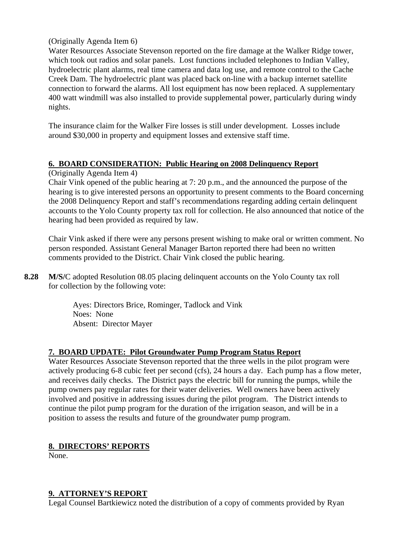(Originally Agenda Item 6)

Water Resources Associate Stevenson reported on the fire damage at the Walker Ridge tower, which took out radios and solar panels. Lost functions included telephones to Indian Valley, hydroelectric plant alarms, real time camera and data log use, and remote control to the Cache Creek Dam. The hydroelectric plant was placed back on-line with a backup internet satellite connection to forward the alarms. All lost equipment has now been replaced. A supplementary 400 watt windmill was also installed to provide supplemental power, particularly during windy nights.

The insurance claim for the Walker Fire losses is still under development. Losses include around \$30,000 in property and equipment losses and extensive staff time.

### **6. BOARD CONSIDERATION: Public Hearing on 2008 Delinquency Report**

(Originally Agenda Item 4)

Chair Vink opened of the public hearing at 7: 20 p.m., and the announced the purpose of the hearing is to give interested persons an opportunity to present comments to the Board concerning the 2008 Delinquency Report and staff's recommendations regarding adding certain delinquent accounts to the Yolo County property tax roll for collection. He also announced that notice of the hearing had been provided as required by law.

Chair Vink asked if there were any persons present wishing to make oral or written comment. No person responded. Assistant General Manager Barton reported there had been no written comments provided to the District. Chair Vink closed the public hearing.

**8.28 M/S/**C adopted Resolution 08.05 placing delinquent accounts on the Yolo County tax roll for collection by the following vote:

> Ayes: Directors Brice, Rominger, Tadlock and Vink Noes: None Absent: Director Mayer

## **7. BOARD UPDATE: Pilot Groundwater Pump Program Status Report**

Water Resources Associate Stevenson reported that the three wells in the pilot program were actively producing 6-8 cubic feet per second (cfs), 24 hours a day. Each pump has a flow meter, and receives daily checks. The District pays the electric bill for running the pumps, while the pump owners pay regular rates for their water deliveries. Well owners have been actively involved and positive in addressing issues during the pilot program. The District intends to continue the pilot pump program for the duration of the irrigation season, and will be in a position to assess the results and future of the groundwater pump program.

### **8. DIRECTORS' REPORTS**

None.

### **9. ATTORNEY'S REPORT**

Legal Counsel Bartkiewicz noted the distribution of a copy of comments provided by Ryan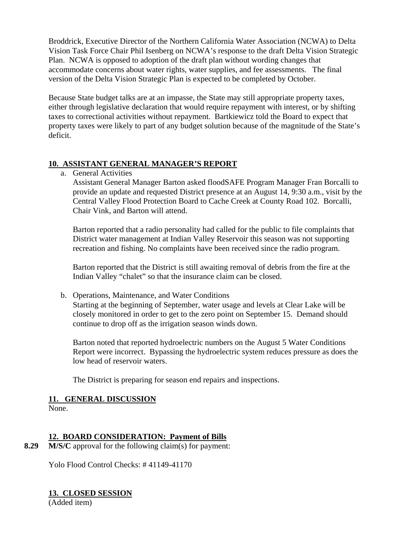Broddrick, Executive Director of the Northern California Water Association (NCWA) to Delta Vision Task Force Chair Phil Isenberg on NCWA's response to the draft Delta Vision Strategic Plan. NCWA is opposed to adoption of the draft plan without wording changes that accommodate concerns about water rights, water supplies, and fee assessments. The final version of the Delta Vision Strategic Plan is expected to be completed by October.

Because State budget talks are at an impasse, the State may still appropriate property taxes, either through legislative declaration that would require repayment with interest, or by shifting taxes to correctional activities without repayment. Bartkiewicz told the Board to expect that property taxes were likely to part of any budget solution because of the magnitude of the State's deficit.

### **10. ASSISTANT GENERAL MANAGER'S REPORT**

a. General Activities

Assistant General Manager Barton asked floodSAFE Program Manager Fran Borcalli to provide an update and requested District presence at an August 14, 9:30 a.m., visit by the Central Valley Flood Protection Board to Cache Creek at County Road 102. Borcalli, Chair Vink, and Barton will attend.

Barton reported that a radio personality had called for the public to file complaints that District water management at Indian Valley Reservoir this season was not supporting recreation and fishing. No complaints have been received since the radio program.

Barton reported that the District is still awaiting removal of debris from the fire at the Indian Valley "chalet" so that the insurance claim can be closed.

b. Operations, Maintenance, and Water Conditions

Starting at the beginning of September, water usage and levels at Clear Lake will be closely monitored in order to get to the zero point on September 15. Demand should continue to drop off as the irrigation season winds down.

Barton noted that reported hydroelectric numbers on the August 5 Water Conditions Report were incorrect. Bypassing the hydroelectric system reduces pressure as does the low head of reservoir waters.

The District is preparing for season end repairs and inspections.

#### **11. GENERAL DISCUSSION**

None.

## **12. BOARD CONSIDERATION: Payment of Bills**

**8.29 M/S/C** approval for the following claim(s) for payment:

Yolo Flood Control Checks: # 41149-41170

## **13. CLOSED SESSION**

(Added item)